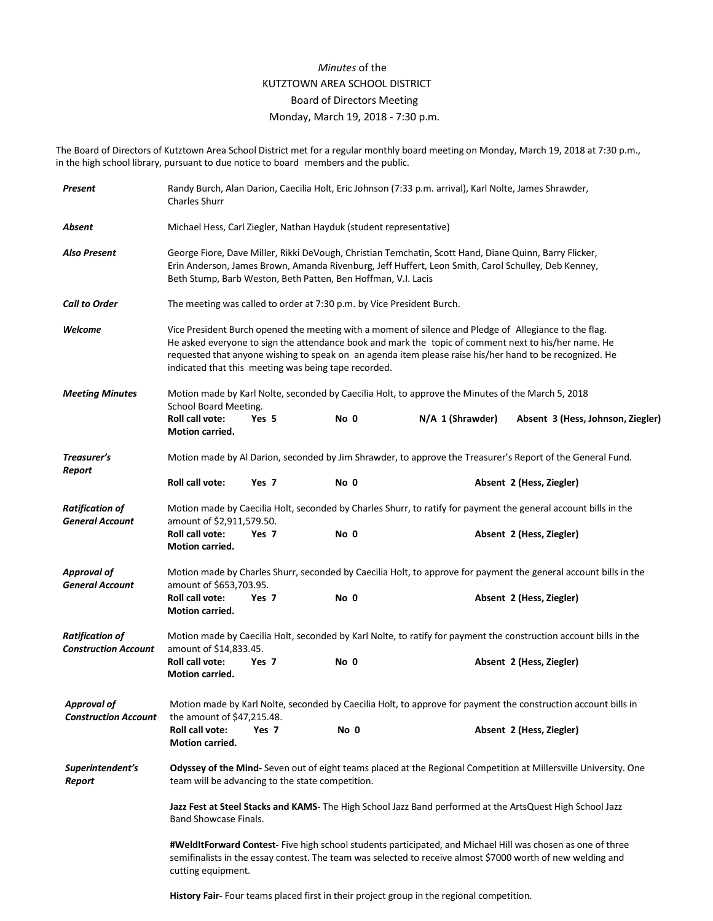## *Minutes* of the KUTZTOWN AREA SCHOOL DISTRICT Board of Directors Meeting Monday, March 19, 2018 - 7:30 p.m.

The Board of Directors of Kutztown Area School District met for a regular monthly board meeting on Monday, March 19, 2018 at 7:30 p.m., in the high school library, pursuant to due notice to board members and the public.

| Present                                               | Randy Burch, Alan Darion, Caecilia Holt, Eric Johnson (7:33 p.m. arrival), Karl Nolte, James Shrawder,<br><b>Charles Shurr</b>                                                                                                                                                                                                                                                    |       |      |  |                  |  |                                   |  |
|-------------------------------------------------------|-----------------------------------------------------------------------------------------------------------------------------------------------------------------------------------------------------------------------------------------------------------------------------------------------------------------------------------------------------------------------------------|-------|------|--|------------------|--|-----------------------------------|--|
| Absent                                                | Michael Hess, Carl Ziegler, Nathan Hayduk (student representative)                                                                                                                                                                                                                                                                                                                |       |      |  |                  |  |                                   |  |
| <b>Also Present</b>                                   | George Fiore, Dave Miller, Rikki DeVough, Christian Temchatin, Scott Hand, Diane Quinn, Barry Flicker,<br>Erin Anderson, James Brown, Amanda Rivenburg, Jeff Huffert, Leon Smith, Carol Schulley, Deb Kenney,<br>Beth Stump, Barb Weston, Beth Patten, Ben Hoffman, V.I. Lacis                                                                                                    |       |      |  |                  |  |                                   |  |
| <b>Call to Order</b>                                  | The meeting was called to order at 7:30 p.m. by Vice President Burch.                                                                                                                                                                                                                                                                                                             |       |      |  |                  |  |                                   |  |
| Welcome                                               | Vice President Burch opened the meeting with a moment of silence and Pledge of Allegiance to the flag.<br>He asked everyone to sign the attendance book and mark the topic of comment next to his/her name. He<br>requested that anyone wishing to speak on an agenda item please raise his/her hand to be recognized. He<br>indicated that this meeting was being tape recorded. |       |      |  |                  |  |                                   |  |
| <b>Meeting Minutes</b>                                | Motion made by Karl Nolte, seconded by Caecilia Holt, to approve the Minutes of the March 5, 2018<br>School Board Meeting.                                                                                                                                                                                                                                                        |       |      |  |                  |  |                                   |  |
|                                                       | <b>Roll call vote:</b><br>Motion carried.                                                                                                                                                                                                                                                                                                                                         | Yes 5 | No 0 |  | N/A 1 (Shrawder) |  | Absent 3 (Hess, Johnson, Ziegler) |  |
| Treasurer's<br>Report                                 | Motion made by Al Darion, seconded by Jim Shrawder, to approve the Treasurer's Report of the General Fund.                                                                                                                                                                                                                                                                        |       |      |  |                  |  |                                   |  |
|                                                       | Roll call vote:                                                                                                                                                                                                                                                                                                                                                                   | Yes 7 | No 0 |  |                  |  | Absent 2 (Hess, Ziegler)          |  |
| <b>Ratification of</b><br><b>General Account</b>      | Motion made by Caecilia Holt, seconded by Charles Shurr, to ratify for payment the general account bills in the<br>amount of \$2,911,579.50.                                                                                                                                                                                                                                      |       |      |  |                  |  |                                   |  |
|                                                       | Roll call vote:<br>Motion carried.                                                                                                                                                                                                                                                                                                                                                | Yes 7 | No 0 |  |                  |  | Absent 2 (Hess, Ziegler)          |  |
| <b>Approval of</b><br><b>General Account</b>          | Motion made by Charles Shurr, seconded by Caecilia Holt, to approve for payment the general account bills in the<br>amount of \$653,703.95.                                                                                                                                                                                                                                       |       |      |  |                  |  |                                   |  |
|                                                       | Roll call vote:<br>Motion carried.                                                                                                                                                                                                                                                                                                                                                | Yes 7 | No 0 |  |                  |  | Absent 2 (Hess, Ziegler)          |  |
| <b>Ratification of</b><br><b>Construction Account</b> | Motion made by Caecilia Holt, seconded by Karl Nolte, to ratify for payment the construction account bills in the<br>amount of \$14,833.45.                                                                                                                                                                                                                                       |       |      |  |                  |  |                                   |  |
|                                                       | Roll call vote:<br>Motion carried.                                                                                                                                                                                                                                                                                                                                                | Yes 7 | No 0 |  |                  |  | Absent 2 (Hess, Ziegler)          |  |
| <b>Approval of</b><br><b>Construction Account</b>     | Motion made by Karl Nolte, seconded by Caecilia Holt, to approve for payment the construction account bills in<br>the amount of $$47,215.48$ .                                                                                                                                                                                                                                    |       |      |  |                  |  |                                   |  |
|                                                       | Roll call vote:<br>Motion carried.                                                                                                                                                                                                                                                                                                                                                | Yes 7 | No 0 |  |                  |  | Absent 2 (Hess, Ziegler)          |  |
| Superintendent's<br>Report                            | Odyssey of the Mind- Seven out of eight teams placed at the Regional Competition at Millersville University. One<br>team will be advancing to the state competition.                                                                                                                                                                                                              |       |      |  |                  |  |                                   |  |
|                                                       | Jazz Fest at Steel Stacks and KAMS- The High School Jazz Band performed at the ArtsQuest High School Jazz<br>Band Showcase Finals.                                                                                                                                                                                                                                                |       |      |  |                  |  |                                   |  |
|                                                       | #WeldItForward Contest- Five high school students participated, and Michael Hill was chosen as one of three<br>semifinalists in the essay contest. The team was selected to receive almost \$7000 worth of new welding and<br>cutting equipment.                                                                                                                                  |       |      |  |                  |  |                                   |  |

**History Fair-** Four teams placed first in their project group in the regional competition.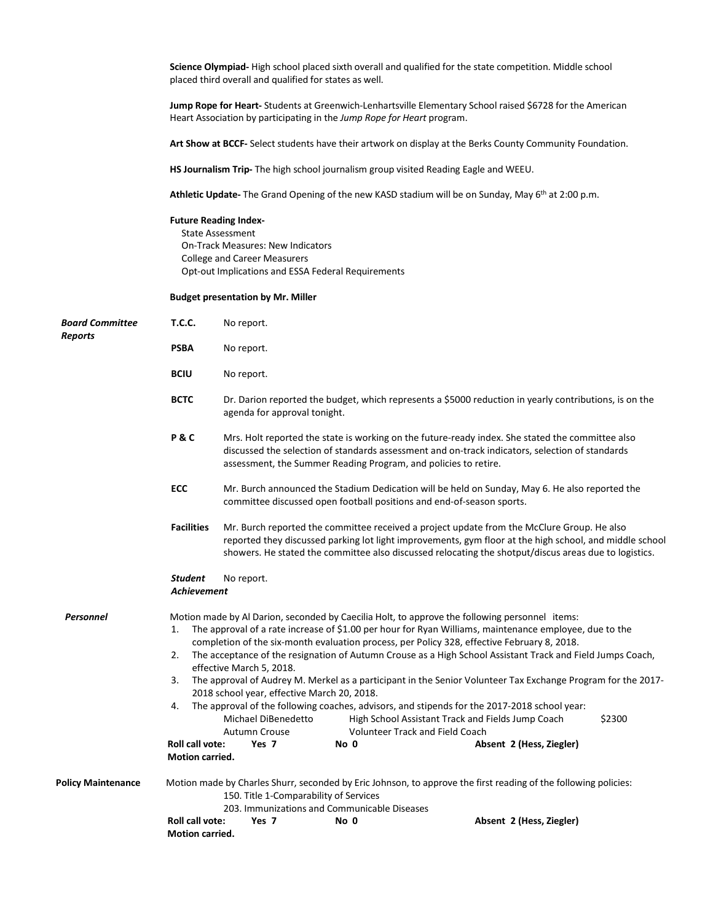**Science Olympiad-** High school placed sixth overall and qualified for the state competition. Middle school placed third overall and qualified for states as well.

**Jump Rope for Heart-** Students at Greenwich-Lenhartsville Elementary School raised \$6728 for the American Heart Association by participating in the *Jump Rope for Heart* program.

**Art Show at BCCF-** Select students have their artwork on display at the Berks County Community Foundation.

**HS Journalism Trip-** The high school journalism group visited Reading Eagle and WEEU.

**Athletic Update-** The Grand Opening of the new KASD stadium will be on Sunday, May 6th at 2:00 p.m.

## **Future Reading Index-**

State Assessment On-Track Measures: New Indicators College and Career Measurers Opt-out Implications and ESSA Federal Requirements

## **Budget presentation by Mr. Miller**

| <b>Board Committee</b><br><b>Reports</b> | <b>T.C.C.</b>                                                                                                                                                                                             | No report.                                                                                                                                                                                                                                                                                                                                                                                                                                                                                                                                                                                                                                                                                                                                                                                                                                                                                                     |      |                          |  |  |  |
|------------------------------------------|-----------------------------------------------------------------------------------------------------------------------------------------------------------------------------------------------------------|----------------------------------------------------------------------------------------------------------------------------------------------------------------------------------------------------------------------------------------------------------------------------------------------------------------------------------------------------------------------------------------------------------------------------------------------------------------------------------------------------------------------------------------------------------------------------------------------------------------------------------------------------------------------------------------------------------------------------------------------------------------------------------------------------------------------------------------------------------------------------------------------------------------|------|--------------------------|--|--|--|
|                                          | <b>PSBA</b>                                                                                                                                                                                               | No report.                                                                                                                                                                                                                                                                                                                                                                                                                                                                                                                                                                                                                                                                                                                                                                                                                                                                                                     |      |                          |  |  |  |
|                                          | <b>BCIU</b>                                                                                                                                                                                               | No report.                                                                                                                                                                                                                                                                                                                                                                                                                                                                                                                                                                                                                                                                                                                                                                                                                                                                                                     |      |                          |  |  |  |
|                                          | <b>BCTC</b>                                                                                                                                                                                               | Dr. Darion reported the budget, which represents a \$5000 reduction in yearly contributions, is on the<br>agenda for approval tonight.                                                                                                                                                                                                                                                                                                                                                                                                                                                                                                                                                                                                                                                                                                                                                                         |      |                          |  |  |  |
|                                          | P&C                                                                                                                                                                                                       | Mrs. Holt reported the state is working on the future-ready index. She stated the committee also<br>discussed the selection of standards assessment and on-track indicators, selection of standards<br>assessment, the Summer Reading Program, and policies to retire.                                                                                                                                                                                                                                                                                                                                                                                                                                                                                                                                                                                                                                         |      |                          |  |  |  |
|                                          | <b>ECC</b>                                                                                                                                                                                                | Mr. Burch announced the Stadium Dedication will be held on Sunday, May 6. He also reported the<br>committee discussed open football positions and end-of-season sports.                                                                                                                                                                                                                                                                                                                                                                                                                                                                                                                                                                                                                                                                                                                                        |      |                          |  |  |  |
|                                          | <b>Facilities</b>                                                                                                                                                                                         | Mr. Burch reported the committee received a project update from the McClure Group. He also<br>reported they discussed parking lot light improvements, gym floor at the high school, and middle school<br>showers. He stated the committee also discussed relocating the shotput/discus areas due to logistics.                                                                                                                                                                                                                                                                                                                                                                                                                                                                                                                                                                                                 |      |                          |  |  |  |
|                                          | <b>Student</b><br>No report.<br><b>Achievement</b>                                                                                                                                                        |                                                                                                                                                                                                                                                                                                                                                                                                                                                                                                                                                                                                                                                                                                                                                                                                                                                                                                                |      |                          |  |  |  |
| <b>Personnel</b>                         | 1.<br>2.<br>3.<br>4.<br><b>Roll call vote:</b><br><b>Motion carried.</b>                                                                                                                                  | Motion made by Al Darion, seconded by Caecilia Holt, to approve the following personnel items:<br>The approval of a rate increase of \$1.00 per hour for Ryan Williams, maintenance employee, due to the<br>completion of the six-month evaluation process, per Policy 328, effective February 8, 2018.<br>The acceptance of the resignation of Autumn Crouse as a High School Assistant Track and Field Jumps Coach,<br>effective March 5, 2018.<br>The approval of Audrey M. Merkel as a participant in the Senior Volunteer Tax Exchange Program for the 2017-<br>2018 school year, effective March 20, 2018.<br>The approval of the following coaches, advisors, and stipends for the 2017-2018 school year:<br>High School Assistant Track and Fields Jump Coach<br>\$2300<br>Michael DiBenedetto<br>Autumn Crouse<br><b>Volunteer Track and Field Coach</b><br>Yes 7<br>No 0<br>Absent 2 (Hess, Ziegler) |      |                          |  |  |  |
| <b>Policy Maintenance</b>                | Motion made by Charles Shurr, seconded by Eric Johnson, to approve the first reading of the following policies:<br>150. Title 1-Comparability of Services<br>203. Immunizations and Communicable Diseases |                                                                                                                                                                                                                                                                                                                                                                                                                                                                                                                                                                                                                                                                                                                                                                                                                                                                                                                |      |                          |  |  |  |
|                                          | <b>Roll call vote:</b><br><b>Motion carried.</b>                                                                                                                                                          | Yes 7                                                                                                                                                                                                                                                                                                                                                                                                                                                                                                                                                                                                                                                                                                                                                                                                                                                                                                          | No 0 | Absent 2 (Hess, Ziegler) |  |  |  |